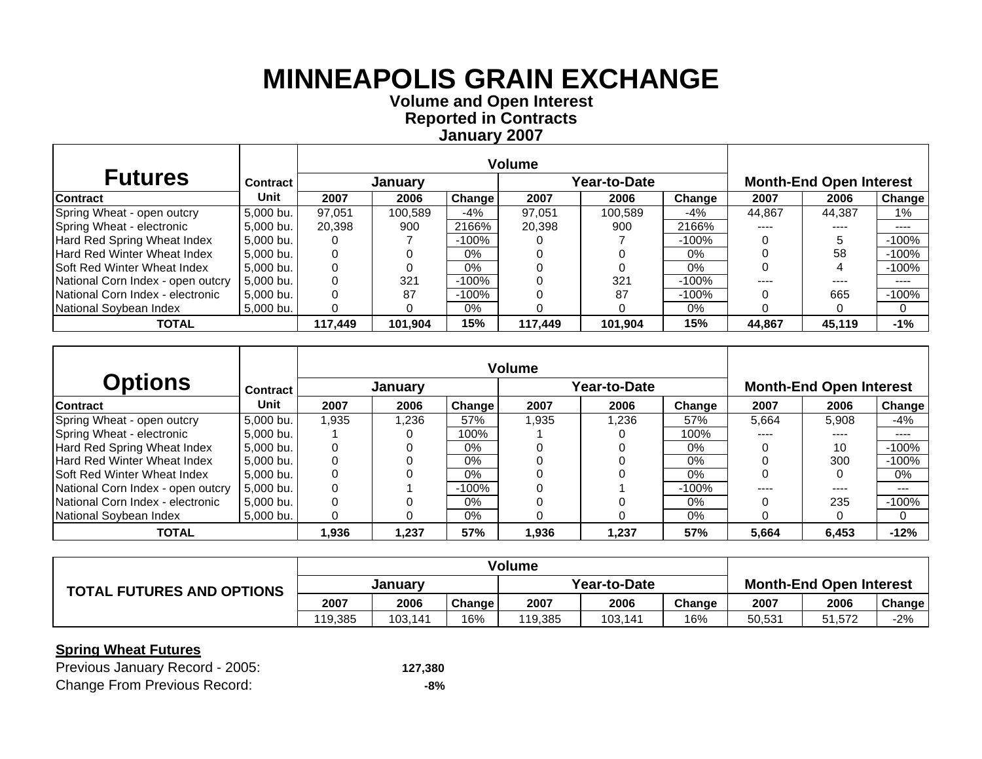**Volume and Open Interest Reported in Contracts January 2007**

| <b>Futures</b>                     | <b>Contract</b> |         | January |         |         | Year-to-Date |         |           | <b>Month-End Open Interest</b> |         |
|------------------------------------|-----------------|---------|---------|---------|---------|--------------|---------|-----------|--------------------------------|---------|
| <b>Contract</b>                    | Unit            | 2007    | 2006    | Change  | 2007    | 2006         | Change  | 2007      | 2006                           | Change  |
| Spring Wheat - open outcry         | 5.000 bu.       | 97.051  | 100.589 | $-4\%$  | 97.051  | 100.589      | -4%     | 44.867    | 44.387                         | 1%      |
| Spring Wheat - electronic          | 5,000 bu.       | 20,398  | 900     | 2166%   | 20,398  | 900          | 2166%   | $- - - -$ | ----                           | ----    |
| Hard Red Spring Wheat Index        | 5.000 bu.       |         |         | -100%   |         |              | $-100%$ |           |                                | $-100%$ |
| Hard Red Winter Wheat Index        | 5.000 bu.       |         |         | 0%      |         |              | $0\%$   |           | 58                             | $-100%$ |
| <b>Soft Red Winter Wheat Index</b> | 5,000 bu.       |         |         | 0%      |         |              | 0%      |           |                                | $-100%$ |
| National Corn Index - open outcry  | 5.000 bu.       |         | 321     | -100%   |         | 321          | $-100%$ |           | ----                           | ----    |
| National Corn Index - electronic   | 5,000 bu.       |         | 87      | $-100%$ |         | 87           | $-100%$ |           | 665                            | $-100%$ |
| National Sovbean Index             | 5,000 bu.       |         |         | $0\%$   |         |              | 0%      |           |                                | 0       |
| <b>TOTAL</b>                       |                 | 117.449 | 101.904 | 15%     | 117.449 | 101,904      | 15%     | 44.867    | 45,119                         | $-1%$   |

|                                    |                 |       |                |          | Volume |              |         |       |                                |          |
|------------------------------------|-----------------|-------|----------------|----------|--------|--------------|---------|-------|--------------------------------|----------|
| <b>Options</b>                     | <b>Contract</b> |       | <b>January</b> |          |        | Year-to-Date |         |       | <b>Month-End Open Interest</b> |          |
| <b>Contract</b>                    | Unit            | 2007  | 2006           | Change   | 2007   | 2006         | Change  | 2007  | 2006                           | Change   |
| Spring Wheat - open outcry         | 5,000 bu.       | 1.935 | 1.236          | 57%      | 1,935  | 1,236        | 57%     | 5.664 | 5.908                          | -4%      |
| Spring Wheat - electronic          | 5,000 bu.       |       |                | 100%     |        |              | 100%    |       | ----                           | ----     |
| Hard Red Spring Wheat Index        | 5.000 bu.       |       |                | 0%       |        |              | $0\%$   |       | 10                             | $-100%$  |
| <b>Hard Red Winter Wheat Index</b> | 5.000 bu.       |       |                | $0\%$    |        |              | $0\%$   |       | 300                            | $-100%$  |
| <b>Soft Red Winter Wheat Index</b> | 5,000 bu.       |       |                | $0\%$    |        |              | $0\%$   |       |                                | $0\%$    |
| National Corn Index - open outcry  | 5.000 bu.       |       |                | $-100\%$ |        |              | $-100%$ |       | ----                           | $---$    |
| National Corn Index - electronic   | 5,000 bu.       |       |                | 0%       |        |              | 0%      |       | 235                            | $-100%$  |
| National Soybean Index             | 5.000 bu.       |       | 0              | $0\%$    |        |              | 0%      |       |                                | $\Omega$ |
| <b>TOTAL</b>                       |                 | 1.936 | 1.237          | 57%      | 1,936  | 1,237        | 57%     | 5,664 | 6.453                          | $-12%$   |

|                                  | <b>Volume</b> |         |               |              |         |        |                                |        |        |
|----------------------------------|---------------|---------|---------------|--------------|---------|--------|--------------------------------|--------|--------|
| <b>TOTAL FUTURES AND OPTIONS</b> | January       |         |               | Year-to-Date |         |        | <b>Month-End Open Interest</b> |        |        |
|                                  | 2007          | 2006    | <b>Change</b> | 2007         | 2006    | Change | 2007                           | 2006   | Change |
|                                  | 119.385       | 103.141 | 16%           | 119.385      | 103.141 | 16%    | 50,531                         | 51.572 | $-2%$  |

| Previous January Record - 2005:     | 127,380 |
|-------------------------------------|---------|
| <b>Change From Previous Record:</b> | -8%     |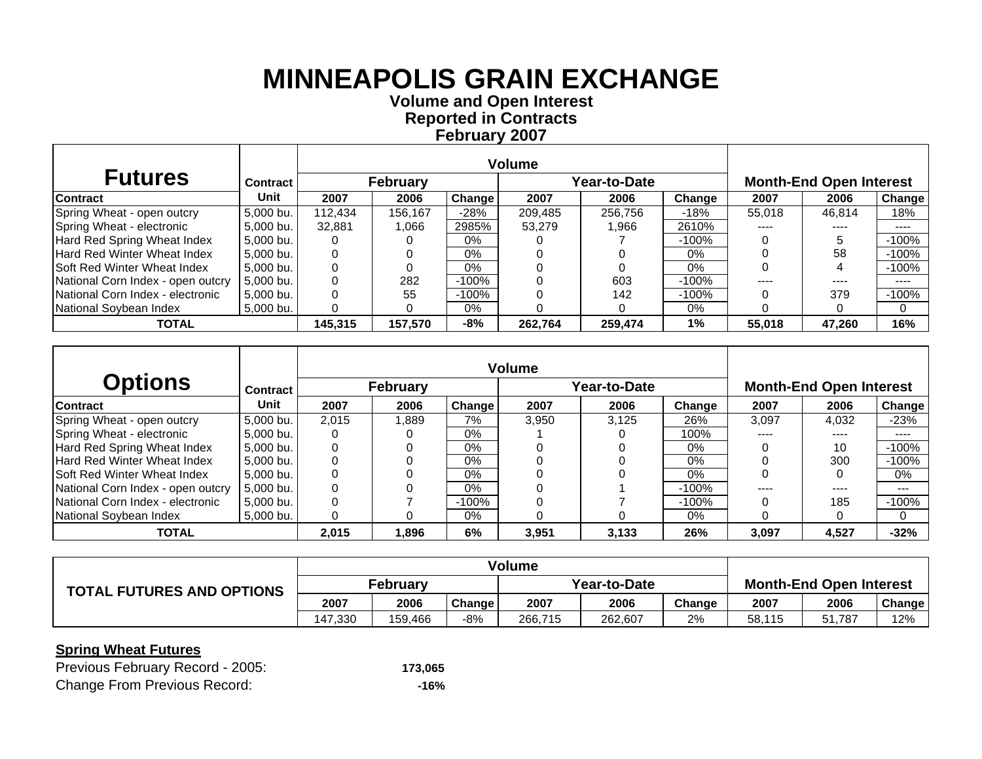**Volume and Open Interest Reported in Contracts February 2007**

| <b>Futures</b>                     | <b>Contract</b> |         | <b>February</b> |        |         | Year-to-Date |         |        | <b>Month-End Open Interest</b> |         |
|------------------------------------|-----------------|---------|-----------------|--------|---------|--------------|---------|--------|--------------------------------|---------|
| <b>Contract</b>                    | Unit            | 2007    | 2006            | Change | 2007    | 2006         | Change  | 2007   | 2006                           | Change  |
| Spring Wheat - open outcry         | 5.000 bu.       | 112.434 | 156,167         | $-28%$ | 209.485 | 256.756      | $-18%$  | 55.018 | 46.814                         | 18%     |
| Spring Wheat - electronic          | 5,000 bu.       | 32,881  | 1.066           | 2985%  | 53,279  | 1.966        | 2610%   | ----   | ----                           | ----    |
| Hard Red Spring Wheat Index        | 5,000 bu.       |         |                 | $0\%$  |         |              | $-100%$ |        |                                | $-100%$ |
| Hard Red Winter Wheat Index        | 5.000 bu.       |         |                 | 0%     |         |              | $0\%$   |        | 58                             | $-100%$ |
| <b>Soft Red Winter Wheat Index</b> | 5.000 bu.       |         |                 | $0\%$  |         |              | $0\%$   |        |                                | $-100%$ |
| National Corn Index - open outcry  | 5.000 bu.       |         | 282             | -100%  |         | 603          | $-100%$ |        |                                | ----    |
| National Corn Index - electronic   | l 5.000 bu. l   |         | 55              | -100%  |         | 142          | $-100%$ |        | 379                            | $-100%$ |
| National Sovbean Index             | 5,000 bu.       |         |                 | $0\%$  |         |              | 0%      |        |                                | 0       |
| <b>TOTAL</b>                       |                 | 145,315 | 157,570         | -8%    | 262.764 | 259.474      | 1%      | 55,018 | 47,260                         | 16%     |

|                                    |                 |       |          |         | <b>Volume</b> |              |         |                                |       |          |  |
|------------------------------------|-----------------|-------|----------|---------|---------------|--------------|---------|--------------------------------|-------|----------|--|
| <b>Options</b>                     | <b>Contract</b> |       | February |         |               | Year-to-Date |         | <b>Month-End Open Interest</b> |       |          |  |
| <b>Contract</b>                    | Unit            | 2007  | 2006     | Change  | 2007          | 2006         | Change  | 2007                           | 2006  | Change   |  |
| Spring Wheat - open outcry         | 5,000 bu.       | 2.015 | 1.889    | 7%      | 3.950         | 3.125        | 26%     | 3,097                          | 4,032 | $-23%$   |  |
| Spring Wheat - electronic          | 5,000 bu.       |       |          | 0%      |               |              | 100%    | ----                           | ----  | ----     |  |
| Hard Red Spring Wheat Index        | 5.000 bu.       |       | 0        | $0\%$   |               |              | 0%      |                                | 10    | $-100%$  |  |
| <b>Hard Red Winter Wheat Index</b> | 5.000 bu.       |       |          | $0\%$   |               |              | $0\%$   |                                | 300   | $-100%$  |  |
| <b>Soft Red Winter Wheat Index</b> | 5,000 bu.       |       |          | 0%      |               |              | $0\%$   |                                |       | 0%       |  |
| National Corn Index - open outcry  | 5.000 bu.       |       |          | 0%      |               |              | $-100%$ |                                | ----  | $---$    |  |
| National Corn Index - electronic   | 5,000 bu.       |       |          | $-100%$ |               |              | $-100%$ |                                | 185   | $-100%$  |  |
| National Soybean Index             | 5.000 bu.       |       | 0        | $0\%$   |               |              | 0%      |                                |       | $\Omega$ |  |
| <b>TOTAL</b>                       |                 | 2.015 | 1,896    | 6%      | 3.951         | 3,133        | 26%     | 3,097                          | 4,527 | $-32%$   |  |

|                                  | Volume   |         |        |              |         |        |                                |        |        |
|----------------------------------|----------|---------|--------|--------------|---------|--------|--------------------------------|--------|--------|
| <b>TOTAL FUTURES AND OPTIONS</b> | February |         |        | Year-to-Date |         |        | <b>Month-End Open Interest</b> |        |        |
|                                  | 2007     | 2006    | Change | 2007         | 2006    | Change | 2007                           | 2006   | Change |
|                                  | 147.330  | 159.466 | -8%    | 266.715      | 262.607 | 2%     | 58.115                         | 51.787 | 12%    |

| Previous February Record - 2005:    | 173,065 |
|-------------------------------------|---------|
| <b>Change From Previous Record:</b> | -16%    |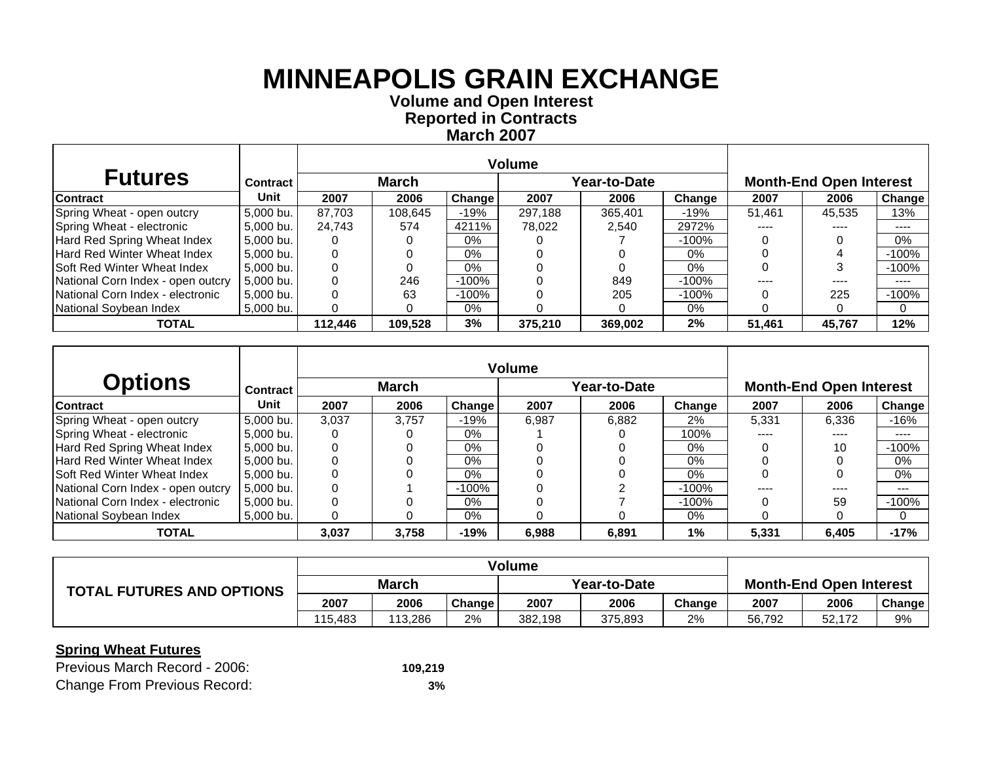**Volume and Open Interest Reported in Contracts March 2007**

| <b>Futures</b>                     | Contract  |         | <b>March</b> |               |         | Year-to-Date |         |        | <b>Month-End Open Interest</b> |               |
|------------------------------------|-----------|---------|--------------|---------------|---------|--------------|---------|--------|--------------------------------|---------------|
| <b>Contract</b>                    | Unit      | 2007    | 2006         | <b>Change</b> | 2007    | 2006         | Change  | 2007   | 2006                           | <b>Change</b> |
| Spring Wheat - open outcry         | 5.000 bu. | 87.703  | 108,645      | $-19%$        | 297.188 | 365,401      | -19%    | 51.461 | 45,535                         | 13%           |
| Spring Wheat - electronic          | 5.000 bu. | 24.743  | 574          | 4211%         | 78.022  | 2,540        | 2972%   | ----   | ----                           | ----          |
| Hard Red Spring Wheat Index        | 5.000 bu. |         |              | $0\%$         |         |              | $-100%$ |        |                                | $0\%$         |
| Hard Red Winter Wheat Index        | 5.000 bu. |         |              | $0\%$         |         |              | $0\%$   |        |                                | $-100%$       |
| <b>Soft Red Winter Wheat Index</b> | 5,000 bu. |         |              | 0%            |         |              | 0%      |        |                                | $-100%$       |
| National Corn Index - open outcry  | 5.000 bu. |         | 246          | -100%         |         | 849          | $-100%$ |        | ----                           | ----          |
| National Corn Index - electronic   | 5,000 bu. |         | 63           | $-100%$       |         | 205          | $-100%$ |        | 225                            | $-100%$       |
| National Sovbean Index             | 5,000 bu. |         |              | $0\%$         |         |              | 0%      |        |                                | 0             |
| <b>TOTAL</b>                       |           | 112,446 | 109,528      | 3%            | 375,210 | 369.002      | 2%      | 51.461 | 45,767                         | 12%           |

|                                    |                 |       |              |        | <b>Volume</b> |              |         |       |                                |                            |  |  |
|------------------------------------|-----------------|-------|--------------|--------|---------------|--------------|---------|-------|--------------------------------|----------------------------|--|--|
| <b>Options</b>                     | <b>Contract</b> |       | <b>March</b> |        |               | Year-to-Date |         |       | <b>Month-End Open Interest</b> |                            |  |  |
| <b>Contract</b>                    | Unit            | 2007  | 2006         | Change | 2007          | 2006         | Change  | 2007  | 2006                           | Change                     |  |  |
| Spring Wheat - open outcry         | 5,000 bu.       | 3.037 | 3.757        | $-19%$ | 6,987         | 6,882        | $2\%$   | 5,331 | 6,336                          | $-16%$                     |  |  |
| Spring Wheat - electronic          | 5,000 bu.       |       |              | $0\%$  |               |              | 100%    | ----  | ----                           | $\qquad \qquad - \qquad -$ |  |  |
| Hard Red Spring Wheat Index        | 5.000 bu.       |       | 0            | $0\%$  |               |              | 0%      |       | 10                             | $-100%$                    |  |  |
| <b>Hard Red Winter Wheat Index</b> | 5.000 bu.       |       |              | $0\%$  |               |              | $0\%$   |       |                                | $0\%$                      |  |  |
| <b>Soft Red Winter Wheat Index</b> | 5,000 bu.       |       |              | 0%     |               |              | $0\%$   |       |                                | $0\%$                      |  |  |
| National Corn Index - open outcry  | 5.000 bu.       |       |              | -100%  |               |              | $-100%$ |       |                                | $---$                      |  |  |
| National Corn Index - electronic   | 5,000 bu.       |       |              | 0%     |               |              | $-100%$ |       | 59                             | $-100%$                    |  |  |
| National Soybean Index             | 5.000 bu.       |       | 0            | $0\%$  |               |              | 0%      |       |                                | $\Omega$                   |  |  |
| <b>TOTAL</b>                       |                 | 3.037 | 3.758        | $-19%$ | 6.988         | 6,891        | 1%      | 5,331 | 6.405                          | $-17%$                     |  |  |

|                                  |              |         |               | <b>Volume</b> |         |        |                                |        |               |
|----------------------------------|--------------|---------|---------------|---------------|---------|--------|--------------------------------|--------|---------------|
| <b>TOTAL FUTURES AND OPTIONS</b> | <b>March</b> |         |               | Year-to-Date  |         |        | <b>Month-End Open Interest</b> |        |               |
|                                  | 2007         | 2006    | <b>Change</b> | 2007          | 2006    | Change | 2007                           | 2006   | <b>Change</b> |
|                                  | 115.483      | 113.286 | 2%            | 382.198       | 375.893 | 2%     | 56.792                         | 52.172 | 9%            |

| Previous March Record - 2006:       | 109.219 |
|-------------------------------------|---------|
| <b>Change From Previous Record:</b> | 3%      |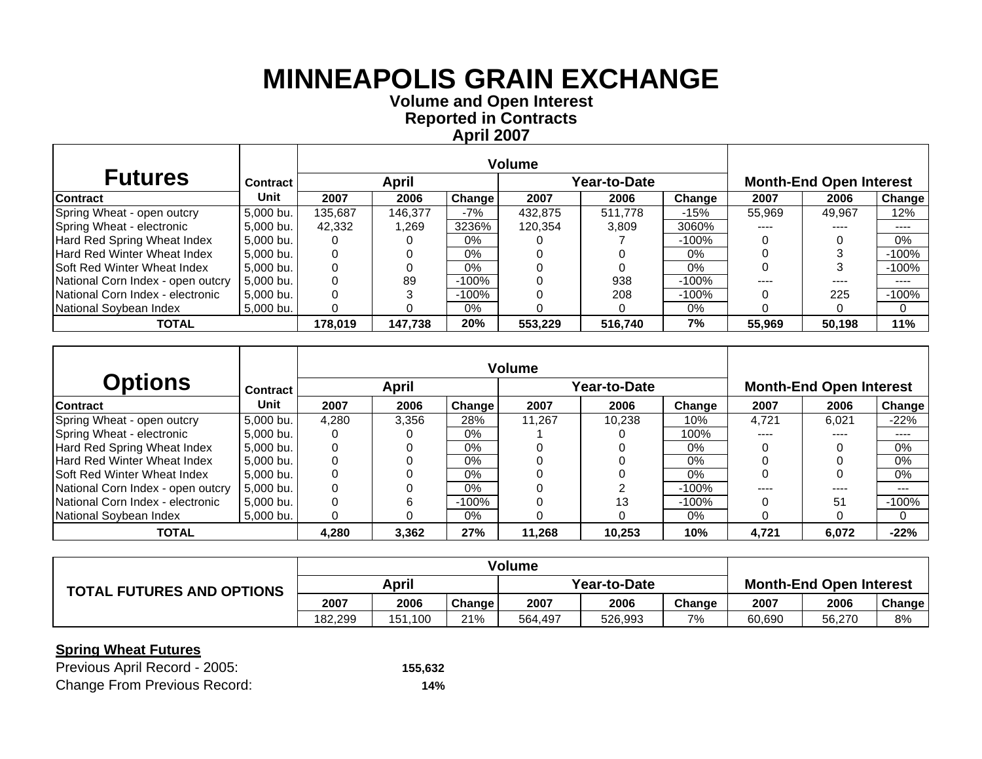**Volume and Open Interest Reported in Contracts April 2007**

| <b>Futures</b>                     | <b>Contract</b> |         | April   |               |         | Year-to-Date | <b>Month-End Open Interest</b> |        |        |          |
|------------------------------------|-----------------|---------|---------|---------------|---------|--------------|--------------------------------|--------|--------|----------|
| <b>Contract</b>                    | Unit            | 2007    | 2006    | <b>Change</b> | 2007    | 2006         | Change                         | 2007   | 2006   | Change   |
| Spring Wheat - open outcry         | 5.000 bu.       | 135.687 | 146.377 | $-7%$         | 432.875 | 511.778      | $-15%$                         | 55,969 | 49.967 | 12%      |
| Spring Wheat - electronic          | 5.000 bu.       | 42,332  | 1,269   | 3236%         | 120,354 | 3,809        | 3060%                          | ----   | ----   | ----     |
| Hard Red Spring Wheat Index        | 5,000 bu.       |         |         | $0\%$         |         |              | -100%                          |        |        | 0%       |
| <b>Hard Red Winter Wheat Index</b> | 5.000 bu.       |         |         | $0\%$         |         |              | $0\%$                          |        |        | $-100%$  |
| <b>Soft Red Winter Wheat Index</b> | 5,000 bu.       |         |         | $0\%$         |         |              | $0\%$                          |        |        | $-100%$  |
| National Corn Index - open outcry  | 5.000 bu.       |         | 89      | -100%         |         | 938          | $-100%$                        | ----   | ----   | $\cdots$ |
| National Corn Index - electronic   | 5.000 bu.       |         |         | -100%         |         | 208          | $-100\%$                       |        | 225    | $-100%$  |
| National Soybean Index             | 5,000 bu.       |         |         | $0\%$         |         |              | 0%                             |        |        | 0        |
| <b>TOTAL</b>                       |                 | 178,019 | 147,738 | 20%           | 553,229 | 516,740      | 7%                             | 55,969 | 50,198 | 11%      |

|                                    |                 |       |       |        | <b>Volume</b> |              |         |       |                                |         |
|------------------------------------|-----------------|-------|-------|--------|---------------|--------------|---------|-------|--------------------------------|---------|
| <b>Options</b>                     | <b>Contract</b> |       | April |        |               | Year-to-Date |         |       | <b>Month-End Open Interest</b> |         |
| <b>Contract</b>                    | Unit            | 2007  | 2006  | Change | 2007          | 2006         | Change  | 2007  | 2006                           | Change  |
| Spring Wheat - open outcry         | 5,000 bu.       | 4.280 | 3,356 | 28%    | 11.267        | 10.238       | 10%     | 4.721 | 6.021                          | $-22%$  |
| Spring Wheat - electronic          | 5,000 bu.       |       |       | $0\%$  |               |              | 100%    | ----  | ----                           | ----    |
| Hard Red Spring Wheat Index        | 5.000 bu.       |       | 0     | $0\%$  |               |              | $0\%$   |       |                                | 0%      |
| <b>Hard Red Winter Wheat Index</b> | 5.000 bu.       |       |       | 0%     |               |              | 0%      |       |                                | $0\%$   |
| <b>Soft Red Winter Wheat Index</b> | 5,000 bu.       |       | ი     | 0%     |               |              | $0\%$   |       |                                | 0%      |
| National Corn Index - open outcry  | 5.000 bu.       |       | 0     | $0\%$  |               |              | $-100%$ | ----  | ----                           | $---$   |
| National Corn Index - electronic   | 5.000 bu.       |       | 6     | -100%  |               | 13           | $-100%$ |       | 51                             | $-100%$ |
| National Soybean Index             | 5.000 bu.       |       | 0     | $0\%$  |               |              | $0\%$   |       |                                | 0       |
| <b>TOTAL</b>                       |                 | 4,280 | 3.362 | 27%    | 11,268        | 10,253       | 10%     | 4,721 | 6,072                          | $-22%$  |

|                                  |         |         |               | <b>Volume</b> |              |                                |        |        |               |
|----------------------------------|---------|---------|---------------|---------------|--------------|--------------------------------|--------|--------|---------------|
| <b>TOTAL FUTURES AND OPTIONS</b> | April   |         |               |               | Year-to-Date | <b>Month-End Open Interest</b> |        |        |               |
|                                  | 2007    | 2006    | <b>Change</b> | 2007          | 2006         | Change                         | 2007   | 2006   | <b>Change</b> |
|                                  | 182.299 | 151.100 | 21%           | 564.497       | 526,993      | 7%                             | 60,690 | 56.270 | 8%            |

| Previous April Record - 2005:       | 155,632 |
|-------------------------------------|---------|
| <b>Change From Previous Record:</b> | 14%     |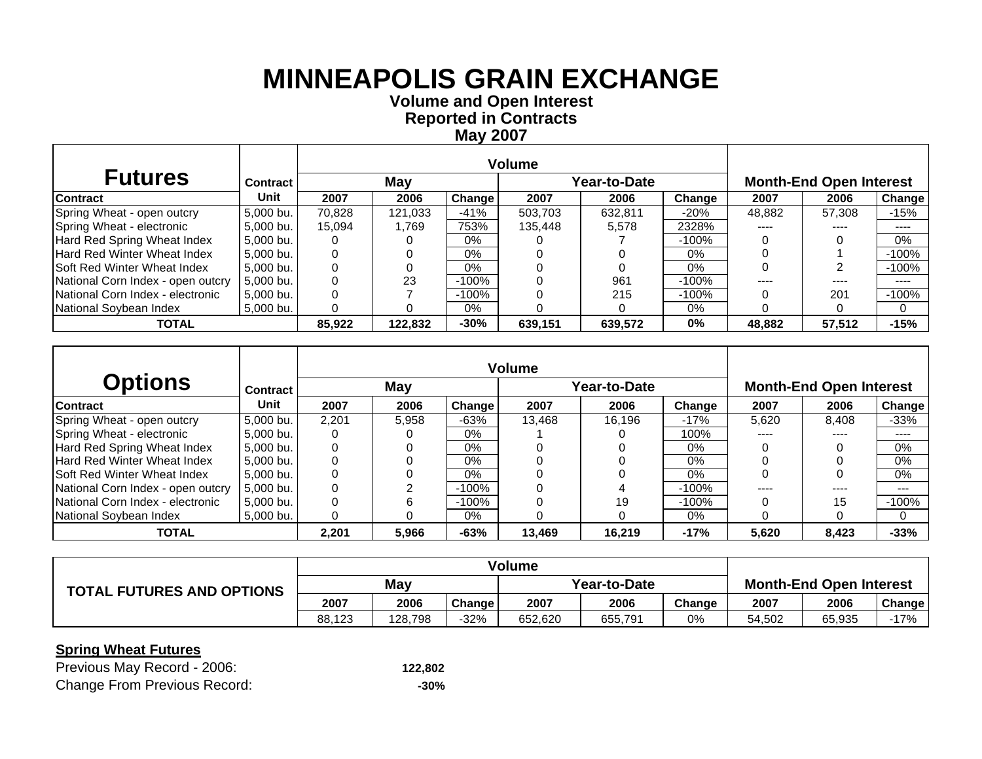**Volume and Open Interest Reported in Contracts May 2007**

| <b>Futures</b>                     | <b>Contract</b> |        | May     |               |         | Year-to-Date | <b>Month-End Open Interest</b> |        |        |          |
|------------------------------------|-----------------|--------|---------|---------------|---------|--------------|--------------------------------|--------|--------|----------|
| <b>Contract</b>                    | Unit            | 2007   | 2006    | <b>Change</b> | 2007    | 2006         | Change                         | 2007   | 2006   | Change   |
| Spring Wheat - open outcry         | 5.000 bu.       | 70.828 | 121.033 | $-41%$        | 503.703 | 632.811      | $-20%$                         | 48,882 | 57.308 | -15%     |
| Spring Wheat - electronic          | 5.000 bu. l     | 15.094 | l.769   | 753%          | 135.448 | 5,578        | 2328%                          | ----   | ----   | ----     |
| Hard Red Spring Wheat Index        | 5.000 bu. l     |        |         | $0\%$         |         |              | $-100\%$                       |        |        | 0%       |
| Hard Red Winter Wheat Index        | 5.000 bu.       |        |         | $0\%$         |         |              | $0\%$                          |        |        | $-100%$  |
| <b>Soft Red Winter Wheat Index</b> | 5,000 bu.       |        |         | 0%            |         |              | 0%                             |        |        | $-100%$  |
| National Corn Index - open outcry  | 5.000 bu.       |        | 23      | -100%         |         | 961          | $-100\%$                       |        |        | ----     |
| National Corn Index - electronic   | 5,000 bu.       |        |         | $-100%$       |         | 215          | $-100%$                        |        | 201    | $-100%$  |
| National Sovbean Index             | 5,000 bu.       |        |         | $0\%$         |         |              | 0%                             |        |        | $\Omega$ |
| <b>TOTAL</b>                       |                 | 85,922 | 122.832 | $-30%$        | 639.151 | 639.572      | 0%                             | 48.882 | 57,512 | $-15%$   |

|                                    |                 |       |       |          | <b>Volume</b> |              |         |       |                                |         |
|------------------------------------|-----------------|-------|-------|----------|---------------|--------------|---------|-------|--------------------------------|---------|
| <b>Options</b>                     | <b>Contract</b> |       | May   |          |               | Year-to-Date |         |       | <b>Month-End Open Interest</b> |         |
| <b>Contract</b>                    | Unit            | 2007  | 2006  | Change   | 2007          | 2006         | Change  | 2007  | 2006                           | Change  |
| Spring Wheat - open outcry         | 5,000 bu.       | 2.201 | 5.958 | $-63%$   | 13.468        | 16.196       | $-17%$  | 5.620 | 8.408                          | $-33%$  |
| Spring Wheat - electronic          | 5,000 bu.       |       |       | $0\%$    |               |              | 100%    | ----  | ----                           | ----    |
| Hard Red Spring Wheat Index        | 5.000 bu.       |       | 0     | $0\%$    |               |              | $0\%$   |       |                                | $0\%$   |
| <b>Hard Red Winter Wheat Index</b> | 5.000 bu.       |       |       | 0%       |               |              | $0\%$   |       |                                | $0\%$   |
| <b>Soft Red Winter Wheat Index</b> | 5,000 bu.       |       |       | $0\%$    |               |              | $0\%$   |       |                                | $0\%$   |
| National Corn Index - open outcry  | 5.000 bu.       |       |       | $-100\%$ |               | 4            | $-100%$ | ----  | ----                           | $---$   |
| National Corn Index - electronic   | 5.000 bu.       |       | 6     | $-100\%$ |               | 19           | $-100%$ |       | 15                             | $-100%$ |
| National Soybean Index             | 5.000 bu. l     |       | 0     | $0\%$    |               |              | 0%      |       |                                | 0       |
| <b>TOTAL</b>                       |                 | 2,201 | 5,966 | $-63%$   | 13,469        | 16,219       | $-17%$  | 5,620 | 8,423                          | $-33%$  |

| <b>TOTAL FUTURES AND OPTIONS</b> | May    |         |               | Year-to-Date |         |        | <b>Month-End Open Interest</b> |        |               |
|----------------------------------|--------|---------|---------------|--------------|---------|--------|--------------------------------|--------|---------------|
|                                  | 2007   | 2006    | <b>Change</b> | 2007         | 2006    | Change | 2007                           | 2006   | <b>Change</b> |
|                                  | 88.123 | 128.798 | -32%          | 652.620      | 655,791 | 0%     | 54.502                         | 65,935 | 17%           |

| Previous May Record - 2006:         | 122,802 |
|-------------------------------------|---------|
| <b>Change From Previous Record:</b> | -30%    |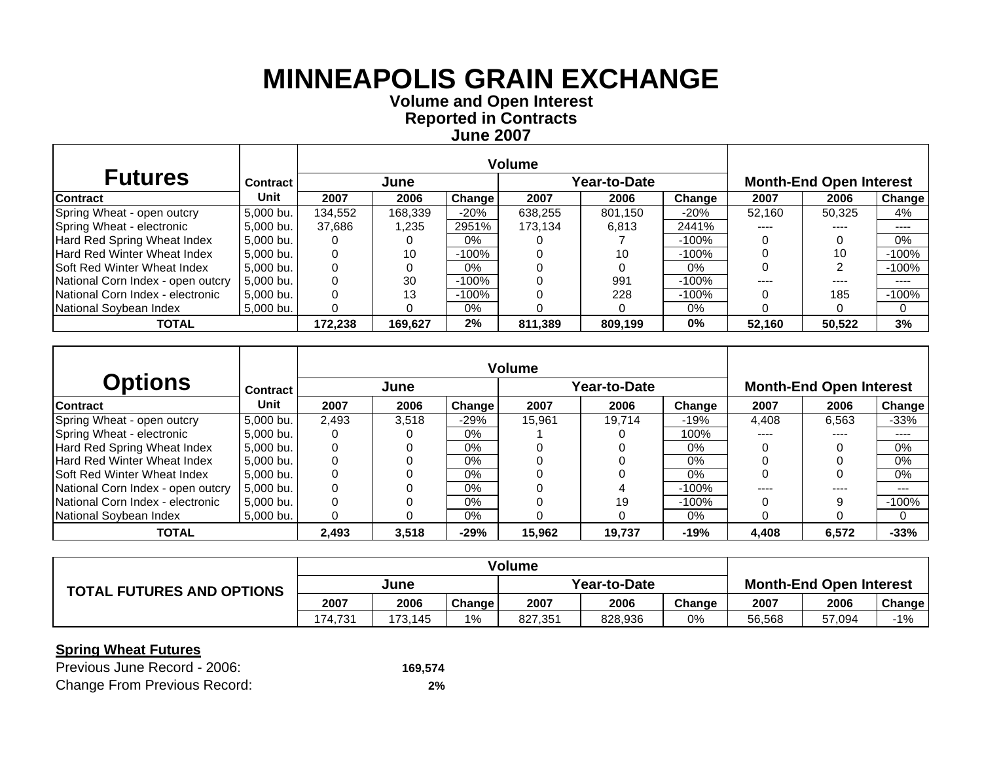**Volume and Open Interest Reported in Contracts June 2007**

| <b>Futures</b>                     | <b>Contract</b> |         | June    |          |         | Year-to-Date | <b>Month-End Open Interest</b> |           |        |               |
|------------------------------------|-----------------|---------|---------|----------|---------|--------------|--------------------------------|-----------|--------|---------------|
| <b>Contract</b>                    | Unit            | 2007    | 2006    | Change   | 2007    | 2006         | Change                         | 2007      | 2006   | <b>Change</b> |
| Spring Wheat - open outcry         | 5.000 bu.       | 134,552 | 168,339 | $-20%$   | 638.255 | 801.150      | $-20\%$                        | 52.160    | 50.325 | 4%            |
| Spring Wheat - electronic          | 5,000 bu.       | 37,686  | .235    | 2951%    | 173,134 | 6,813        | 2441%                          | ----      | ----   | ----          |
| Hard Red Spring Wheat Index        | 5,000 bu.       |         |         | $0\%$    |         |              | $-100%$                        |           |        | $0\%$         |
| Hard Red Winter Wheat Index        | 5.000 bu.       |         | 10      | $-100\%$ |         | 10           | $-100%$                        |           | 10     | $-100%$       |
| <b>Soft Red Winter Wheat Index</b> | 5,000 bu.       |         |         | $0\%$    |         |              | 0%                             |           |        | $-100%$       |
| National Corn Index - open outcry  | 5,000 bu.       |         | 30      | -100%    |         | 991          | $-100%$                        | $- - - -$ | ----   | ----          |
| National Corn Index - electronic   | 5.000 bu.       |         | 13      | -100%    |         | 228          | $-100%$                        |           | 185    | $-100%$       |
| National Soybean Index             | 5,000 bu.       |         |         | 0%       |         |              | 0%                             |           |        | 0             |
| <b>TOTAL</b>                       |                 | 172,238 | 169,627 | 2%       | 811,389 | 809,199      | 0%                             | 52,160    | 50,522 | 3%            |

|                                    |                 |       |       |        | <b>Volume</b> |              |         |       |                                |         |
|------------------------------------|-----------------|-------|-------|--------|---------------|--------------|---------|-------|--------------------------------|---------|
| <b>Options</b>                     | <b>Contract</b> |       | June  |        |               | Year-to-Date |         |       | <b>Month-End Open Interest</b> |         |
| <b>Contract</b>                    | Unit            | 2007  | 2006  | Change | 2007          | 2006         | Change  | 2007  | 2006                           | Change  |
| Spring Wheat - open outcry         | 5,000 bu.       | 2.493 | 3.518 | $-29%$ | 15.961        | 19.714       | $-19%$  | 4.408 | 6.563                          | $-33%$  |
| Spring Wheat - electronic          | 5,000 bu.       |       |       | 0%     |               |              | 100%    | ----  | ----                           | ----    |
| Hard Red Spring Wheat Index        | 5.000 bu.       |       | 0     | $0\%$  |               |              | $0\%$   |       |                                | 0%      |
| <b>Hard Red Winter Wheat Index</b> | 5.000 bu.       |       |       | 0%     |               |              | $0\%$   |       |                                | $0\%$   |
| <b>Soft Red Winter Wheat Index</b> | 5,000 bu.       |       |       | $0\%$  |               |              | $0\%$   |       |                                | $0\%$   |
| National Corn Index - open outcry  | 5.000 bu.       |       | 0     | $0\%$  |               | 4            | $-100%$ | ----  | ----                           | $---$   |
| National Corn Index - electronic   | 5,000 bu.       |       |       | 0%     |               | 19           | $-100%$ |       |                                | $-100%$ |
| National Soybean Index             | 5.000 bu. l     |       | 0     | $0\%$  |               |              | 0%      |       |                                | 0       |
| <b>TOTAL</b>                       |                 | 2,493 | 3,518 | $-29%$ | 15,962        | 19,737       | $-19%$  | 4,408 | 6,572                          | $-33%$  |

|                                  | <b>Volume</b> |         |               |              |         |        |                                |        |        |
|----------------------------------|---------------|---------|---------------|--------------|---------|--------|--------------------------------|--------|--------|
| <b>TOTAL FUTURES AND OPTIONS</b> | June          |         |               | Year-to-Date |         |        | <b>Month-End Open Interest</b> |        |        |
|                                  | 2007          | 2006    | <b>Change</b> | 2007         | 2006    | Change | 2007                           | 2006   | Change |
|                                  | 174.731       | 173.145 | $1\%$         | 827,351      | 828,936 | 0%     | 56,568                         | 57,094 | $-1%$  |

| Previous June Record - 2006:        | 169,574 |
|-------------------------------------|---------|
| <b>Change From Previous Record:</b> | 2%      |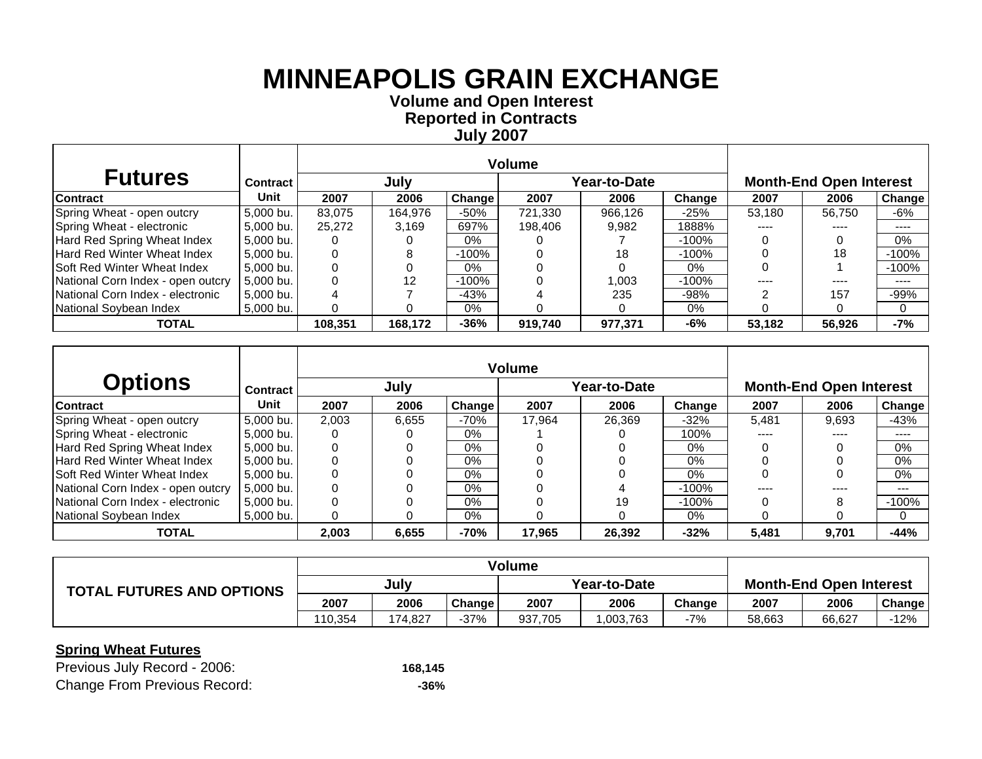**Volume and Open Interest Reported in Contracts July 2007**

 $\top$ 

| <b>Futures</b>                          | <b>Contract</b> |         | July    |               |         | Year-to-Date | <b>Month-End Open Interest</b> |           |        |               |
|-----------------------------------------|-----------------|---------|---------|---------------|---------|--------------|--------------------------------|-----------|--------|---------------|
| <b>Contract</b>                         | Unit            | 2007    | 2006    | <b>Change</b> | 2007    | 2006         | Change                         | 2007      | 2006   | <b>Change</b> |
| Spring Wheat - open outcry              | 5.000 bu.       | 83.075  | 164.976 | $-50%$        | 721.330 | 966.126      | $-25%$                         | 53,180    | 56.750 | -6%           |
| Spring Wheat - electronic               | 5,000 bu.       | 25,272  | 3,169   | 697%          | 198,406 | 9,982        | 1888%                          |           |        | ----          |
| Hard Red Spring Wheat Index             | 5,000 bu.       |         |         | $0\%$         |         |              | $-100%$                        |           |        | $0\%$         |
| Hard Red Winter Wheat Index             | 5.000 bu.       |         | 8       | -100%         |         | 18           | $-100%$                        |           | 18     | $-100%$       |
| <b>Soft Red Winter Wheat Index</b>      | 5,000 bu.       |         |         | $0\%$         |         |              | 0%                             |           |        | $-100%$       |
| National Corn Index - open outcry       | 5.000 bu.       |         | 12      | -100%         |         | 1.003        | $-100%$                        | $- - - -$ | ----   | ----          |
| <b>National Corn Index - electronic</b> | 5.000 bu.       |         |         | $-43%$        |         | 235          | $-98%$                         |           | 157    | $-99%$        |
| National Soybean Index                  | 5,000 bu.       |         |         | 0%            |         |              | 0%                             |           |        | $\Omega$      |
| <b>TOTAL</b>                            |                 | 108,351 | 168,172 | $-36%$        | 919,740 | 977,371      | -6%                            | 53,182    | 56,926 | $-7%$         |

|                                    |                 |       |       |        | <b>Volume</b> |              |         |       |                                |         |
|------------------------------------|-----------------|-------|-------|--------|---------------|--------------|---------|-------|--------------------------------|---------|
| <b>Options</b>                     | <b>Contract</b> |       | July  |        |               | Year-to-Date |         |       | <b>Month-End Open Interest</b> |         |
| <b>Contract</b>                    | Unit            | 2007  | 2006  | Change | 2007          | 2006         | Change  | 2007  | 2006                           | Change  |
| Spring Wheat - open outcry         | 5,000 bu.       | 2.003 | 6.655 | $-70%$ | 17.964        | 26.369       | $-32%$  | 5.481 | 9.693                          | -43%    |
| Spring Wheat - electronic          | 5,000 bu.       |       |       | $0\%$  |               |              | 100%    | ----  | ----                           | ----    |
| Hard Red Spring Wheat Index        | 5.000 bu.       |       | 0     | $0\%$  |               |              | $0\%$   |       |                                | 0%      |
| <b>Hard Red Winter Wheat Index</b> | 5.000 bu.       |       |       | 0%     |               |              | $0\%$   |       |                                | $0\%$   |
| <b>Soft Red Winter Wheat Index</b> | 5,000 bu.       |       |       | $0\%$  |               |              | $0\%$   |       |                                | $0\%$   |
| National Corn Index - open outcry  | 5.000 bu.       |       | 0     | $0\%$  |               | 4            | $-100%$ | ----  | ----                           | $---$   |
| National Corn Index - electronic   | 5,000 bu.       |       |       | 0%     |               | 19           | $-100%$ |       |                                | $-100%$ |
| National Soybean Index             | 5.000 bu. l     |       | 0     | $0\%$  |               |              | 0%      |       |                                | 0       |
| <b>TOTAL</b>                       |                 | 2,003 | 6,655 | $-70%$ | 17,965        | 26,392       | $-32%$  | 5,481 | 9,701                          | $-44%$  |

|                                  | Volume  |         |        |              |           |        |                                |        |        |
|----------------------------------|---------|---------|--------|--------------|-----------|--------|--------------------------------|--------|--------|
| <b>TOTAL FUTURES AND OPTIONS</b> | July    |         |        | Year-to-Date |           |        | <b>Month-End Open Interest</b> |        |        |
|                                  | 2007    | 2006    | Change | 2007         | 2006      | Change | 2007                           | 2006   | Change |
|                                  | 110.354 | 174.827 | $-37%$ | 937,705      | 1,003,763 | -7%    | 58,663                         | 66.627 | $-12%$ |

### **Spring Wheat Futures**

Г

| Previous July Record - 2006:        | 168.145 |
|-------------------------------------|---------|
| <b>Change From Previous Record:</b> | -36%    |

 $\top$ 

┱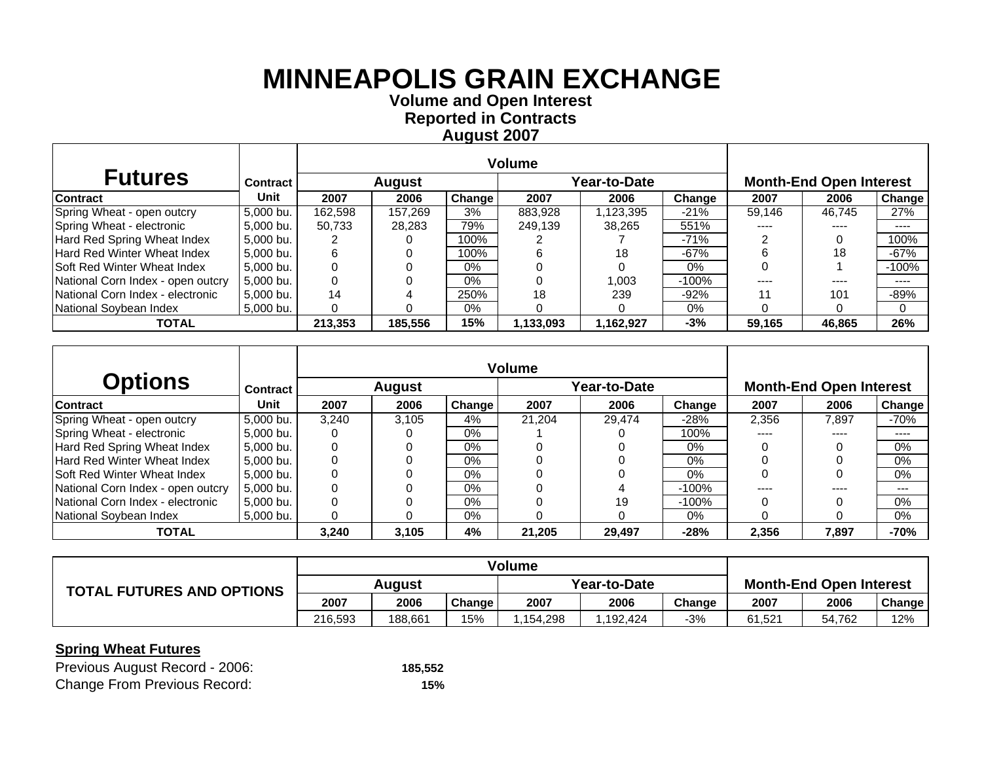**Volume and O pen Interest Re ported in Contracts A u gust 2007**

| <b>Futures</b>                     | <b>Contract</b> |         | August  |        |           | Year-to-Date |         | <b>Month-End Open Interest</b> |        |          |
|------------------------------------|-----------------|---------|---------|--------|-----------|--------------|---------|--------------------------------|--------|----------|
| Contract                           | <b>Unit</b>     | 2007    | 2006    | Change | 2007      | 2006         | Change  | 2007                           | 2006   | Change   |
| Spring Wheat - open outcry         | 5.000 bu.       | 162.598 | 157.269 | 3%     | 883.928   | .123.395     | $-21%$  | 59.146                         | 46.745 | 27%      |
| Spring Wheat - electronic          | 5,000 bu.       | 50,733  | 28,283  | 79%    | 249,139   | 38,265       | 551%    | ----                           | ----   | ----     |
| Hard Red Spring Wheat Index        | 5,000 bu.       |         |         | 100%   |           |              | $-71%$  |                                |        | 100%     |
| <b>Hard Red Winter Wheat Index</b> | 5,000 bu.       |         |         | 100%   |           | 18           | $-67%$  |                                | 18     | $-67%$   |
| <b>Soft Red Winter Wheat Index</b> | 5.000 bu.       |         |         | 0%     |           |              | 0%      |                                |        | $-100\%$ |
| National Corn Index - open outcry  | 5.000 bu.       |         |         | $0\%$  |           | 1.003        | $-100%$ | ----                           | ----   | ----     |
| National Corn Index - electronic   | 5,000 bu.       | 14      |         | 250%   | 18        | 239          | $-92%$  |                                | 101    | -89%     |
| National Soybean Index             | 5,000 bu.       |         |         | 0%     |           |              | $0\%$   |                                |        | $\Omega$ |
| <b>TOTAL</b>                       |                 | 213,353 | 185,556 | 15%    | 1,133,093 | 1,162,927    | $-3%$   | 59.165                         | 46,865 | 26%      |

|                                    |             |       |               |        | <b>Volume</b> |              |          |       |                                |                            |
|------------------------------------|-------------|-------|---------------|--------|---------------|--------------|----------|-------|--------------------------------|----------------------------|
| <b>Options</b>                     | Contract    |       | <b>August</b> |        |               | Year-to-Date |          |       | <b>Month-End Open Interest</b> |                            |
| <b>Contract</b>                    | <b>Unit</b> | 2007  | 2006          | Change | 2007          | 2006         | Change   | 2007  | 2006                           | Change                     |
| Spring Wheat - open outcry         | 5,000 bu.   | 3.240 | 3.105         | 4%     | 21.204        | 29.474       | -28%     | 2.356 | 7.897                          | -70%                       |
| Spring Wheat - electronic          | 5,000 bu.   |       |               | $0\%$  |               |              | 100%     | ----  | ----                           | $\qquad \qquad - \qquad -$ |
| Hard Red Spring Wheat Index        | 5,000 bu.   |       | 0             | 0%     |               |              | $0\%$    |       |                                | 0%                         |
| Hard Red Winter Wheat Index        | 5.000 bu.   |       |               | 0%     |               |              | $0\%$    |       |                                | 0%                         |
| <b>Soft Red Winter Wheat Index</b> | 5,000 bu.   |       |               | $0\%$  |               |              | $0\%$    |       |                                | 0%                         |
| National Corn Index - open outcry  | 5.000 bu.   |       | O             | $0\%$  |               |              | -100%    |       |                                | ---                        |
| National Corn Index - electronic   | 5.000 bu.   |       |               | $0\%$  |               | 19           | $-100\%$ |       |                                | 0%                         |
| National Soybean Index             | 5.000 bu.   |       | 0             | $0\%$  |               |              | 0%       |       |                                | 0%                         |
| <b>TOTAL</b>                       |             | 3.240 | 3.105         | 4%     | 21.205        | 29.497       | $-28%$   | 2.356 | 7.897                          | $-70%$                     |

|                                  | <b>Volume</b> |         |        |              |          |        |                                |        |        |
|----------------------------------|---------------|---------|--------|--------------|----------|--------|--------------------------------|--------|--------|
| <b>TOTAL FUTURES AND OPTIONS</b> | August        |         |        | Year-to-Date |          |        | <b>Month-End Open Interest</b> |        |        |
|                                  | 2007          | 2006    | Change | 2007         | 2006     | Change | 2007                           | 2006   | Change |
|                                  | 216.593       | 188.661 | 15%    | .154.298     | .192.424 | $-3%$  | 61.521                         | 54,762 | 12%    |

| Previous August Record - 2006:      | 185,552 |
|-------------------------------------|---------|
| <b>Change From Previous Record:</b> | 15%     |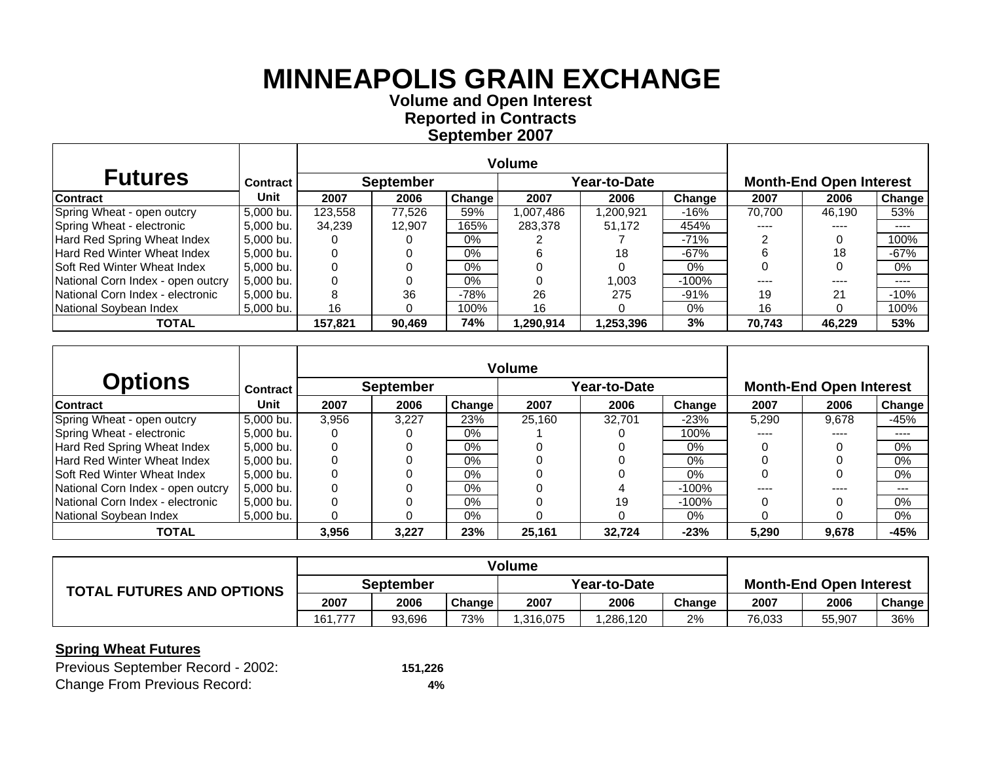**Volume and O pen Interest Re ported in Contracts Se ptember 2007**

| <b>Futures</b>                     | <b>Contract</b> |         | <b>September</b> |        |           | Year-to-Date |         |        | <b>Month-End Open Interest</b> |                            |  |
|------------------------------------|-----------------|---------|------------------|--------|-----------|--------------|---------|--------|--------------------------------|----------------------------|--|
| <b>Contract</b>                    | Unit            | 2007    | 2006             | Change | 2007      | 2006         | Change  | 2007   | 2006                           | Change                     |  |
| Spring Wheat - open outcry         | 5.000 bu.       | 123,558 | 77.526           | 59%    | 1.007.486 | 200,921.ا    | -16%    | 70.700 | 46.190                         | 53%                        |  |
| Spring Wheat - electronic          | 5.000 bu.       | 34,239  | 12.907           | 165%   | 283,378   | 51,172       | 454%    | ----   | ----                           | ----                       |  |
| Hard Red Spring Wheat Index        | 5.000 bu.       |         |                  | 0%     |           |              | $-71%$  |        |                                | 100%                       |  |
| Hard Red Winter Wheat Index        | 5,000 bu.       |         |                  | $0\%$  |           | 18           | $-67%$  | h      | 18                             | $-67%$                     |  |
| <b>Soft Red Winter Wheat Index</b> | 5.000 bu.       |         |                  | $0\%$  |           |              | 0%      |        |                                | 0%                         |  |
| National Corn Index - open outcry  | 5.000 bu.       |         |                  | $0\%$  |           | 1.003        | $-100%$ | ----   | ----                           | $\qquad \qquad - \qquad -$ |  |
| National Corn Index - electronic   | 5.000 bu.       |         | 36               | $-78%$ | 26        | 275          | $-91\%$ | 19     | 21                             | $-10%$                     |  |
| National Soybean Index             | 5,000 bu.       | 16      |                  | 100%   | 16        |              | 0%      | 16     |                                | 100%                       |  |
| <b>TOTAL</b>                       |                 | 157,821 | 90,469           | 74%    | 290,914,  | 1,253,396    | 3%      | 70.743 | 46,229                         | 53%                        |  |

|                                    |             |       |                  |        | <b>Volume</b> |              |          |       |                                |                            |
|------------------------------------|-------------|-------|------------------|--------|---------------|--------------|----------|-------|--------------------------------|----------------------------|
| <b>Options</b>                     | Contract    |       | <b>September</b> |        |               | Year-to-Date |          |       | <b>Month-End Open Interest</b> |                            |
| <b>Contract</b>                    | <b>Unit</b> | 2007  | 2006             | Change | 2007          | 2006         | Change   | 2007  | 2006                           | Change                     |
| Spring Wheat - open outcry         | 5,000 bu.   | 3.956 | 3.227            | 23%    | 25.160        | 32.701       | $-23%$   | 5.290 | 9.678                          | -45%                       |
| Spring Wheat - electronic          | 5,000 bu.   |       |                  | $0\%$  |               |              | 100%     | ----  | ----                           | $\qquad \qquad - \qquad -$ |
| Hard Red Spring Wheat Index        | 5.000 bu.   |       | 0                | 0%     |               |              | $0\%$    |       |                                | 0%                         |
| Hard Red Winter Wheat Index        | 5.000 bu.   |       |                  | 0%     |               |              | $0\%$    |       |                                | $0\%$                      |
| <b>Soft Red Winter Wheat Index</b> | 5,000 bu.   |       |                  | $0\%$  |               |              | $0\%$    |       |                                | 0%                         |
| National Corn Index - open outcry  | 5.000 bu.   |       |                  | $0\%$  |               |              | -100%    |       |                                | ---                        |
| National Corn Index - electronic   | 5.000 bu.   |       |                  | $0\%$  |               | 19           | $-100\%$ |       |                                | 0%                         |
| National Soybean Index             | 5.000 bu.   |       | 0                | $0\%$  |               |              | 0%       |       |                                | 0%                         |
| <b>TOTAL</b>                       |             | 3.956 | 3.227            | 23%    | 25.161        | 32,724       | $-23%$   | 5.290 | 9,678                          | $-45%$                     |

|                                  | <b>Volume</b> |        |        |              |          |        |                                |        |               |
|----------------------------------|---------------|--------|--------|--------------|----------|--------|--------------------------------|--------|---------------|
| <b>TOTAL FUTURES AND OPTIONS</b> | September     |        |        | Year-to-Date |          |        | <b>Month-End Open Interest</b> |        |               |
|                                  | 2007          | 2006   | Change | 2007         | 2006     | Change | 2007                           | 2006   | <b>Change</b> |
|                                  | 161.777       | 93.696 | 73%    | .316,075     | .286,120 | 2%     | 76,033                         | 55,907 | 36%           |

| Previous September Record - 2002:   | 151,226 |
|-------------------------------------|---------|
| <b>Change From Previous Record:</b> | 4%      |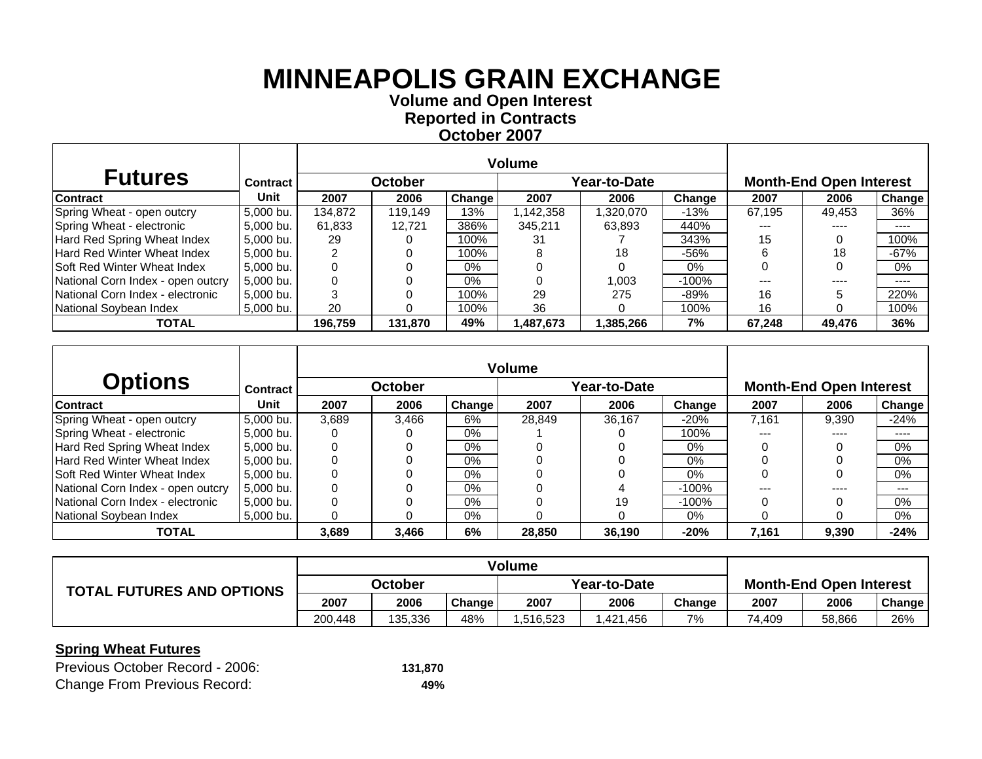**Volume and O pen Interest Re ported in Contracts October 2007**

| <b>Futures</b>                     | <b>Contract</b> |         | <b>October</b> |        |           | Year-to-Date |          |        | <b>Month-End Open Interest</b> |                            |  |  |
|------------------------------------|-----------------|---------|----------------|--------|-----------|--------------|----------|--------|--------------------------------|----------------------------|--|--|
| <b>Contract</b>                    | Unit            | 2007    | 2006           | Change | 2007      | 2006         | Change   | 2007   | 2006                           | Change                     |  |  |
| Spring Wheat - open outcry         | 5.000 bu.       | 134.872 | 119.149        | 13%    | 1,142,358 | 1.320.070    | -13%     | 67.195 | 49.453                         | 36%                        |  |  |
| Spring Wheat - electronic          | 5.000 bu.       | 61,833  | 12.721         | 386%   | 345,211   | 63,893       | 440%     | $---$  | ----                           | $- - - -$                  |  |  |
| Hard Red Spring Wheat Index        | 5.000 bu.       | 29      |                | 100%   | 31        |              | 343%     | 15     |                                | 100%                       |  |  |
| Hard Red Winter Wheat Index        | 5,000 bu.       |         |                | 100%   |           | 18           | -56%     | 6      | 18                             | $-67%$                     |  |  |
| <b>Soft Red Winter Wheat Index</b> | 5.000 bu.       |         |                | 0%     |           |              | 0%       |        |                                | $0\%$                      |  |  |
| National Corn Index - open outcry  | 5.000 bu.       |         |                | $0\%$  |           | 1.003        | $-100\%$ | $---$  | ----                           | $\qquad \qquad - \qquad -$ |  |  |
| National Corn Index - electronic   | l 5.000 bu.     |         |                | 100%   | 29        | 275          | -89%     | 16     |                                | 220%                       |  |  |
| National Soybean Index             | 5,000 bu.       | 20      |                | 100%   | 36        |              | 100%     | 16     |                                | 100%                       |  |  |
| <b>TOTAL</b>                       |                 | 196.759 | 131.870        | 49%    | ,487,673  | 1,385,266    | 7%       | 67,248 | 49,476                         | 36%                        |  |  |

|                                   |           |       |                |        | <b>Volume</b> |              |          |       |                                |        |
|-----------------------------------|-----------|-------|----------------|--------|---------------|--------------|----------|-------|--------------------------------|--------|
| <b>Options</b>                    | Contract  |       | <b>October</b> |        |               | Year-to-Date |          |       | <b>Month-End Open Interest</b> |        |
| <b>Contract</b>                   | Unit      | 2007  | 2006           | Change | 2007          | 2006         | Change   | 2007  | 2006                           | Change |
| Spring Wheat - open outcry        | 5,000 bu. | 3.689 | 3.466          | 6%     | 28.849        | 36.167       | $-20\%$  | 7.161 | 9.390                          | $-24%$ |
| Spring Wheat - electronic         | 5,000 bu. |       |                | $0\%$  |               |              | 100%     |       | ----                           | ----   |
| Hard Red Spring Wheat Index       | 5.000 bu. |       |                | $0\%$  |               |              | $0\%$    |       |                                | $0\%$  |
| Hard Red Winter Wheat Index       | 5,000 bu. |       |                | $0\%$  |               |              | $0\%$    |       |                                | 0%     |
| ISoft Red Winter Wheat Index      | 5.000 bu. |       |                | $0\%$  |               |              | $0\%$    |       |                                | 0%     |
| National Corn Index - open outcry | 5.000 bu. | 0     |                | $0\%$  |               |              | $-100\%$ |       |                                | ---    |
| National Corn Index - electronic  | 5,000 bu. |       |                | $0\%$  |               | 19           | $-100%$  |       |                                | $0\%$  |
| National Soybean Index            | 5.000 bu. | 0     | O              | $0\%$  |               |              | $0\%$    |       |                                | $0\%$  |
| <b>TOTAL</b>                      |           | 3,689 | 3,466          | 6%     | 28,850        | 36,190       | $-20%$   | 7,161 | 9,390                          | $-24%$ |

|                                  | <b>Volume</b> |         |        |              |          |        |                                |        |        |
|----------------------------------|---------------|---------|--------|--------------|----------|--------|--------------------------------|--------|--------|
| <b>TOTAL FUTURES AND OPTIONS</b> | October       |         |        | Year-to-Date |          |        | <b>Month-End Open Interest</b> |        |        |
|                                  | 2007          | 2006    | Change | 2007         | 2006     | Change | 2007                           | 2006   | Change |
|                                  | 200.448       | 135,336 | 48%    | .516,523     | ,421,456 | 7%     | 74,409                         | 58,866 | 26%    |

| Previous October Record - 2006:     | 131.870 |
|-------------------------------------|---------|
| <b>Change From Previous Record:</b> | 49%     |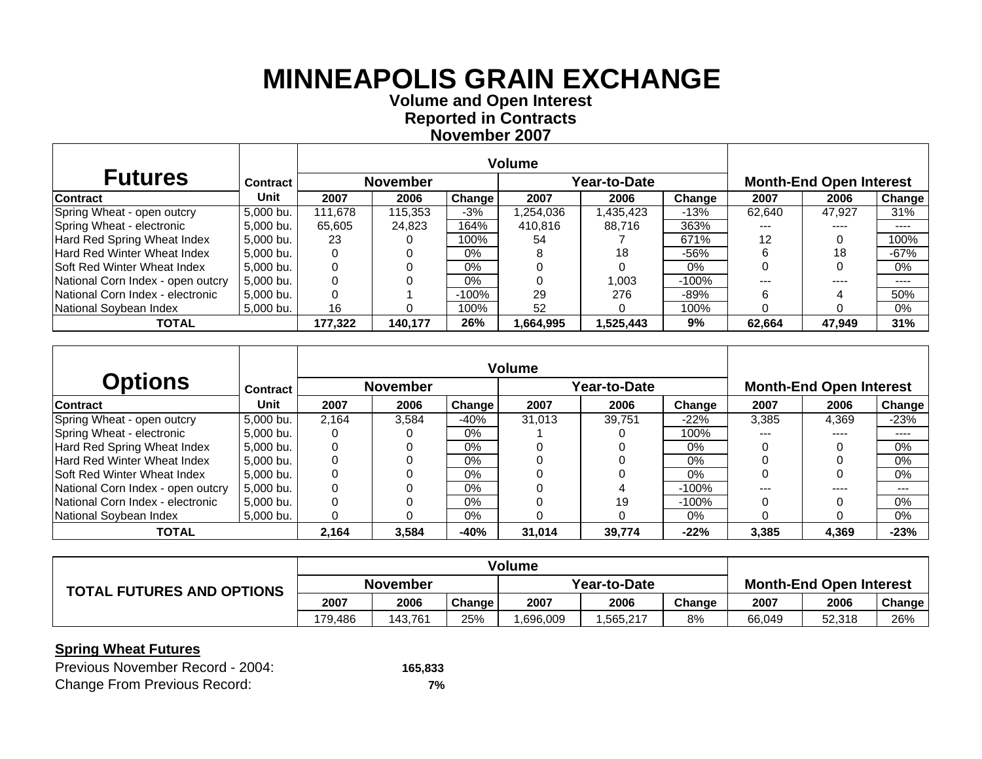**Volume and O pen Interest Re ported in Contracts November 2007**

| <b>Futures</b>                     | Contract  |         | <b>November</b> |        |          | Year-to-Date |         |         | <b>Month-End Open Interest</b> |                       |  |
|------------------------------------|-----------|---------|-----------------|--------|----------|--------------|---------|---------|--------------------------------|-----------------------|--|
| <b>Contract</b>                    | Unit      | 2007    | 2006            | Change | 2007     | 2006         | Change  | 2007    | 2006                           | Change                |  |
| Spring Wheat - open outcry         | 5.000 bu. | 111.678 | 115,353         | -3%    | .254,036 | .435,423     | $-13%$  | 62.640  | 47.927                         | 31%                   |  |
| Spring Wheat - electronic          | 5.000 bu. | 65,605  | 24,823          | 164%   | 410,816  | 88,716       | 363%    | $---$   | ----                           | ----                  |  |
| Hard Red Spring Wheat Index        | 5.000 bu. | 23      |                 | 100%   | 54       |              | 671%    | 12      |                                | 100%                  |  |
| Hard Red Winter Wheat Index        | 5,000 bu. |         |                 | $0\%$  |          | 18           | $-56%$  |         | 18                             | $-67%$                |  |
| <b>Soft Red Winter Wheat Index</b> | 5.000 bu. |         |                 | $0\%$  |          |              | $0\%$   |         |                                | $0\%$                 |  |
| National Corn Index - open outcry  | 5.000 bu. |         |                 | $0\%$  |          | 1.003        | $-100%$ | $- - -$ | ----                           | $\qquad \qquad - - -$ |  |
| National Corn Index - electronic   | 5,000 bu. |         |                 | -100%  | 29       | 276          | $-89%$  | 6       |                                | 50%                   |  |
| National Soybean Index             | 5,000 bu. | 16      |                 | 100%   | 52       |              | 100%    |         |                                | $0\%$                 |  |
| <b>TOTAL</b>                       |           | 177,322 | 140.177         | 26%    | ,664,995 | 525,443. ا   | 9%      | 62.664  | 47.949                         | 31%                   |  |

|                                    |                 |       |                 |        | Volume |              |         |       |                                |        |
|------------------------------------|-----------------|-------|-----------------|--------|--------|--------------|---------|-------|--------------------------------|--------|
| <b>Options</b>                     | <b>Contract</b> |       | <b>November</b> |        |        | Year-to-Date |         |       | <b>Month-End Open Interest</b> |        |
| <b>Contract</b>                    | Unit            | 2007  | 2006            | Change | 2007   | 2006         | Change  | 2007  | 2006                           | Change |
| Spring Wheat - open outcry         | 5,000 bu.       | 2.164 | 3.584           | $-40%$ | 31.013 | 39.751       | $-22%$  | 3.385 | 4.369                          | $-23%$ |
| Spring Wheat - electronic          | 5,000 bu.       |       |                 | 0%     |        |              | 100%    | ---   | ----                           | ----   |
| Hard Red Spring Wheat Index        | 5.000 bu.       |       |                 | $0\%$  |        |              | $0\%$   |       |                                | $0\%$  |
| <b>Hard Red Winter Wheat Index</b> | 5,000 bu.       |       |                 | $0\%$  |        |              | $0\%$   |       |                                | $0\%$  |
| ISoft Red Winter Wheat Index       | 5,000 bu.       |       |                 | $0\%$  |        |              | $0\%$   |       |                                | $0\%$  |
| National Corn Index - open outcry  | 5.000 bu.       | 0     | 0               | $0\%$  |        |              | $-100%$ |       |                                | $---$  |
| National Corn Index - electronic   | 5,000 bu.       |       |                 | $0\%$  |        | 19           | $-100%$ |       |                                | 0%     |
| National Sovbean Index             | 5.000 bu.       | 0     | 0               | $0\%$  |        |              | $0\%$   |       |                                | $0\%$  |
| <b>TOTAL</b>                       |                 | 2,164 | 3,584           | $-40%$ | 31.014 | 39,774       | $-22%$  | 3.385 | 4,369                          | $-23%$ |

|                                  | Volume          |         |               |              |          |        |                                |        |        |
|----------------------------------|-----------------|---------|---------------|--------------|----------|--------|--------------------------------|--------|--------|
| <b>TOTAL FUTURES AND OPTIONS</b> | <b>November</b> |         |               | Year-to-Date |          |        | <b>Month-End Open Interest</b> |        |        |
|                                  | 2007            | 2006    | <b>Change</b> | 2007         | 2006     | Change | 2007                           | 2006   | Change |
|                                  | 179.486         | 143.761 | 25%           | .696,009     | .565,217 | 8%     | 66.049                         | 52,318 | 26%    |

| Previous November Record - 2004:    | 165,833 |
|-------------------------------------|---------|
| <b>Change From Previous Record:</b> | 7%      |